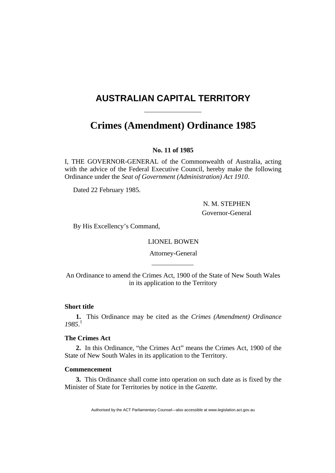# **AUSTRALIAN CAPITAL TERRITORY**

# **Crimes (Amendment) Ordinance 1985**

## **No. 11 of 1985**

I, THE GOVERNOR-GENERAL of the Commonwealth of Australia, acting with the advice of the Federal Executive Council, hereby make the following Ordinance under the *Seat of Government (Administration) Act 1910*.

Dated 22 February 1985.

 N. M. STEPHEN Governor-General

By His Excellency's Command,

LIONEL BOWEN

Attorney-General

An Ordinance to amend the Crimes Act, 1900 of the State of New South Wales in its application to the Territory

# **Short title**

**1.** This Ordinance may be cited as the *Crimes (Amendment) Ordinance 1985*. 1

#### **The Crimes Act**

**2.** In this Ordinance, "the Crimes Act" means the Crimes Act, 1900 of the State of New South Wales in its application to the Territory.

#### **Commencement**

**3.** This Ordinance shall come into operation on such date as is fixed by the Minister of State for Territories by notice in the *Gazette.*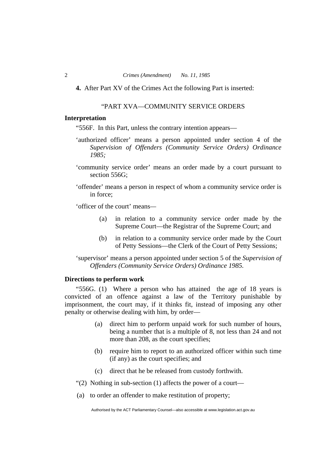**4.** After Part XV of the Crimes Act the following Part is inserted:

#### "PART XVA—COMMUNITY SERVICE ORDERS

#### **Interpretation**

"556F. In this Part, unless the contrary intention appears—

- 'authorized officer' means a person appointed under section 4 of the *Supervision of Offenders (Community Service Orders) Ordinance 1985;*
- 'community service order' means an order made by a court pursuant to section 556G;
- 'offender' means a person in respect of whom a community service order is in force;

'officer of the court' means*—* 

- (a) in relation to a community service order made by the Supreme Court—the Registrar of the Supreme Court; and
- (b) in relation to a community service order made by the Court of Petty Sessions—the Clerk of the Court of Petty Sessions;

'supervisor' means a person appointed under section 5 of the *Supervision of Offenders (Community Service Orders) Ordinance 1985.* 

#### **Directions to perform work**

"556G. (1) Where a person who has attained the age of 18 years is convicted of an offence against a law of the Territory punishable by imprisonment, the court may, if it thinks fit, instead of imposing any other penalty or otherwise dealing with him, by order—

- (a) direct him to perform unpaid work for such number of hours, being a number that is a multiple of 8, not less than 24 and not more than 208, as the court specifies;
- (b) require him to report to an authorized officer within such time (if any) as the court specifies; and
- (c) direct that he be released from custody forthwith.
- "(2) Nothing in sub-section (1) affects the power of a court—
- (a) to order an offender to make restitution of property;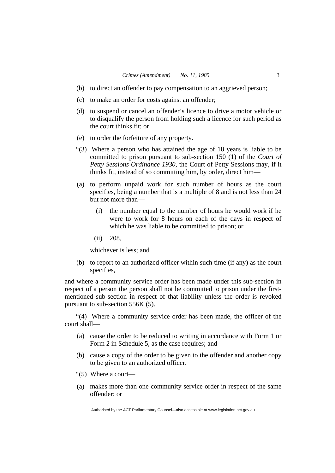- (b) to direct an offender to pay compensation to an aggrieved person;
- (c) to make an order for costs against an offender;
- (d) to suspend or cancel an offender's licence to drive a motor vehicle or to disqualify the person from holding such a licence for such period as the court thinks fit; or
- (e) to order the forfeiture of any property.
- "(3) Where a person who has attained the age of 18 years is liable to be committed to prison pursuant to sub-section 150 (1) of the *Court of Petty Sessions Ordinance 1930*, the Court of Petty Sessions may, if it thinks fit, instead of so committing him, by order, direct him—
- (a) to perform unpaid work for such number of hours as the court specifies, being a number that is a multiple of 8 and is not less than 24 but not more than—
	- (i) the number equal to the number of hours he would work if he were to work for 8 hours on each of the days in respect of which he was liable to be committed to prison; or
	- (ii) 208,

whichever is less; and

 (b) to report to an authorized officer within such time (if any) as the court specifies,

and where a community service order has been made under this sub-section in respect of a person the person shall not be committed to prison under the firstmentioned sub-section in respect of that liability unless the order is revoked pursuant to sub-section 556K (5).

"(4) Where a community service order has been made, the officer of the court shall—

- (a) cause the order to be reduced to writing in accordance with Form 1 or Form 2 in Schedule 5, as the case requires; and
- (b) cause a copy of the order to be given to the offender and another copy to be given to an authorized officer.
- "(5) Where a court—
- (a) makes more than one community service order in respect of the same offender; or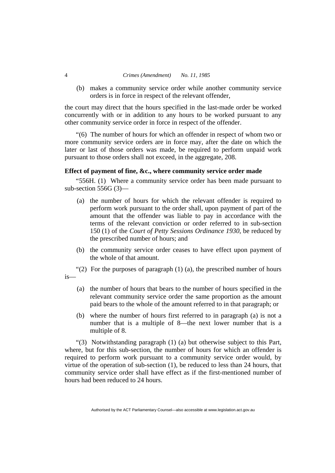#### 4 *Crimes (Amendment) No. 11, 1985*

 (b) makes a community service order while another community service orders is in force in respect of the relevant offender,

the court may direct that the hours specified in the last-made order be worked concurrently with or in addition to any hours to be worked pursuant to any other community service order in force in respect of the offender.

"(6) The number of hours for which an offender in respect of whom two or more community service orders are in force may, after the date on which the later or last of those orders was made, be required to perform unpaid work pursuant to those orders shall not exceed, in the aggregate, 208.

## **Effect of payment of fine, &c., where community service order made**

"556H. (1) Where a community service order has been made pursuant to sub-section 556G (3)—

- (a) the number of hours for which the relevant offender is required to perform work pursuant to the order shall, upon payment of part of the amount that the offender was liable to pay in accordance with the terms of the relevant conviction or order referred to in sub-section 150 (1) of the *Court of Petty Sessions Ordinance 1930*, be reduced by the prescribed number of hours; and
- (b) the community service order ceases to have effect upon payment of the whole of that amount.
- "(2) For the purposes of paragraph  $(1)$   $(a)$ , the prescribed number of hours
- is—
	- (a) the number of hours that bears to the number of hours specified in the relevant community service order the same proportion as the amount paid bears to the whole of the amount referred to in that paragraph; or
	- (b) where the number of hours first referred to in paragraph (a) is not a number that is a multiple of 8—the next lower number that is a multiple of 8.

"(3) Notwithstanding paragraph (1) (a) but otherwise subject to this Part, where, but for this sub-section, the number of hours for which an offender is required to perform work pursuant to a community service order would, by virtue of the operation of sub-section (1), be reduced to less than 24 hours, that community service order shall have effect as if the first-mentioned number of hours had been reduced to 24 hours.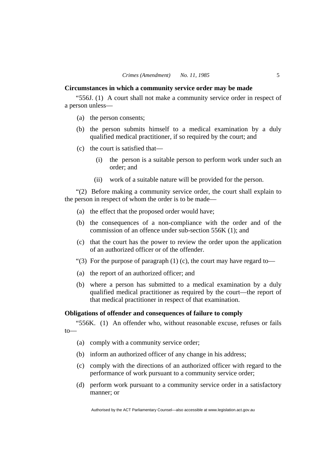#### **Circumstances in which a community service order may be made**

"556J. (1) A court shall not make a community service order in respect of a person unless—

- (a) the person consents;
- (b) the person submits himself to a medical examination by a duly qualified medical practitioner, if so required by the court; and
- (c) the court is satisfied that—
	- (i) the person is a suitable person to perform work under such an order; and
	- (ii) work of a suitable nature will be provided for the person.

"(2) Before making a community service order, the court shall explain to the person in respect of whom the order is to be made—

- (a) the effect that the proposed order would have;
- (b) the consequences of a non-compliance with the order and of the commission of an offence under sub-section 556K (1); and
- (c) that the court has the power to review the order upon the application of an authorized officer or of the offender.
- "(3) For the purpose of paragraph  $(1)$  (c), the court may have regard to-
- (a) the report of an authorized officer; and
- (b) where a person has submitted to a medical examination by a duly qualified medical practitioner as required by the court—the report of that medical practitioner in respect of that examination.

#### **Obligations of offender and consequences of failure to comply**

"556K. (1) An offender who, without reasonable excuse, refuses or fails to—

- (a) comply with a community service order;
- (b) inform an authorized officer of any change in his address;
- (c) comply with the directions of an authorized officer with regard to the performance of work pursuant to a community service order;
- (d) perform work pursuant to a community service order in a satisfactory manner; or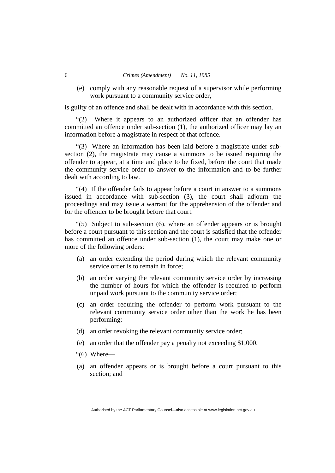#### 6 *Crimes (Amendment) No. 11, 1985*

 (e) comply with any reasonable request of a supervisor while performing work pursuant to a community service order.

is guilty of an offence and shall be dealt with in accordance with this section.

"(2) Where it appears to an authorized officer that an offender has committed an offence under sub-section (1), the authorized officer may lay an information before a magistrate in respect of that offence.

"(3) Where an information has been laid before a magistrate under subsection (2), the magistrate may cause a summons to be issued requiring the offender to appear, at a time and place to be fixed, before the court that made the community service order to answer to the information and to be further dealt with according to law.

"(4) If the offender fails to appear before a court in answer to a summons issued in accordance with sub-section (3), the court shall adjourn the proceedings and may issue a warrant for the apprehension of the offender and for the offender to be brought before that court.

"(5) Subject to sub-section (6), where an offender appears or is brought before a court pursuant to this section and the court is satisfied that the offender has committed an offence under sub-section (1), the court may make one or more of the following orders:

- (a) an order extending the period during which the relevant community service order is to remain in force;
- (b) an order varying the relevant community service order by increasing the number of hours for which the offender is required to perform unpaid work pursuant to the community service order;
- (c) an order requiring the offender to perform work pursuant to the relevant community service order other than the work he has been performing;
- (d) an order revoking the relevant community service order;
- (e) an order that the offender pay a penalty not exceeding \$1,000.
- " $(6)$  Where—
- (a) an offender appears or is brought before a court pursuant to this section; and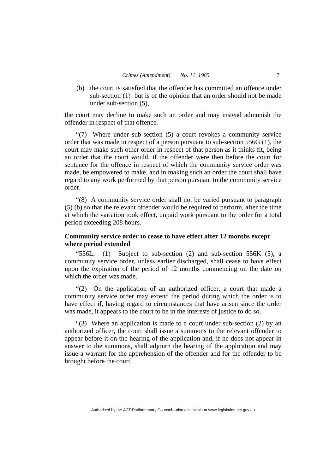(b) the court is satisfied that the offender has committed an offence under sub-section (1) but is of the opinion that an order should not be made under sub-section (5),

the court may decline to make such an order and may instead admonish the offender in respect of that offence.

"(7) Where under sub-section (5) a court revokes a community service order that was made in respect of a person pursuant to sub-section 556G (1), the court may make such other order in respect of that person as it thinks fit, being an order that the court would, if the offender were then before the court for sentence for the offence in respect of which the community service order was made, be empowered to make, and in making such an order the court shall have regard to any work performed by that person pursuant to the community service order.

"(8) A community service order shall not be varied pursuant to paragraph (5) (b) so that the relevant offender would be required to perform, after the time at which the variation took effect, unpaid work pursuant to the order for a total period exceeding 208 hours.

# **Community service order to cease to have effect after 12 months except where period extended**

"556L. (1) Subject to sub-section  $(2)$  and sub-section 556K  $(5)$ , a community service order, unless earlier discharged, shall cease to have effect upon the expiration of the period of 12 months commencing on the date on which the order was made.

"(2) On the application of an authorized officer, a court that made a community service order may extend the period during which the order is to have effect if, having regard to circumstances that have arisen since the order was made, it appears to the court to be in the interests of justice to do so.

"(3) Where an application is made to a court under sub-section (2) by an authorized officer, the court shall issue a summons to the relevant offender to appear before it on the hearing of the application and, if he does not appear in answer to the summons, shall adjourn the hearing of the application and may issue a warrant for the apprehension of the offender and for the offender to be brought before the court.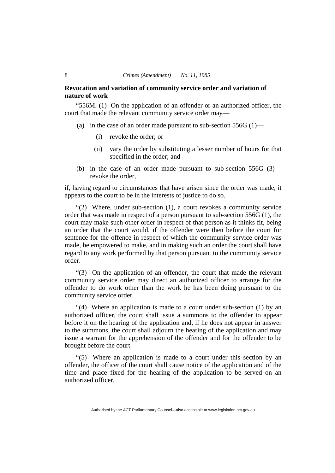#### 8 *Crimes (Amendment) No. 11, 1985*

#### **Revocation and variation of community service order and variation of nature of work**

"556M. (1) On the application of an offender or an authorized officer, the court that made the relevant community service order may—

- (a) in the case of an order made pursuant to sub-section  $556G(1)$ 
	- (i) revoke the order; or
	- (ii) vary the order by substituting a lesser number of hours for that specified in the order; and
- (b) in the case of an order made pursuant to sub-section 556G (3) revoke the order,

if, having regard to circumstances that have arisen since the order was made, it appears to the court to be in the interests of justice to do so.

"(2) Where, under sub-section (1), a court revokes a community service order that was made in respect of a person pursuant to sub-section 556G (1), the court may make such other order in respect of that person as it thinks fit, being an order that the court would, if the offender were then before the court for sentence for the offence in respect of which the community service order was made, be empowered to make, and in making such an order the court shall have regard to any work performed by that person pursuant to the community service order.

"(3) On the application of an offender, the court that made the relevant community service order may direct an authorized officer to arrange for the offender to do work other than the work he has been doing pursuant to the community service order.

"(4) Where an application is made to a court under sub-section (1) by an authorized officer, the court shall issue a summons to the offender to appear before it on the hearing of the application and, if he does not appear in answer to the summons, the court shall adjourn the hearing of the application and may issue a warrant for the apprehension of the offender and for the offender to be brought before the court.

"(5) Where an application is made to a court under this section by an offender, the officer of the court shall cause notice of the application and of the time and place fixed for the hearing of the application to be served on an authorized officer.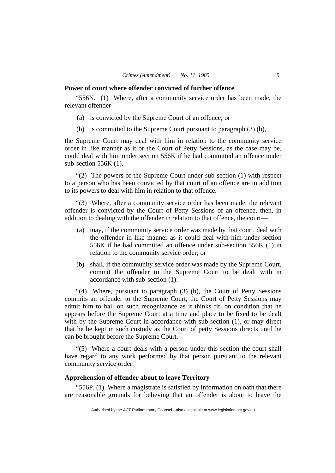#### **Power of court where offender convicted of further offence**

"556N. (1) Where, after a community service order has been made, the relevant offender—

- (a) is convicted by the Supreme Court of an offence; or
- (b) is committed to the Supreme Court pursuant to paragraph (3) (b),

the Supreme Court may deal with him in relation to the community service order in like manner as it or the Court of Petty Sessions, as the case may be, could deal with him under section 556K if he had committed an offence under sub-section 556K (1).

"(2) The powers of the Supreme Court under sub-section (1) with respect to a person who has been convicted by that court of an offence are in addition to its powers to deal with him in relation to that offence.

"(3) Where, after a community service order has been made, the relevant offender is convicted by the Court of Petty Sessions of an offence, then, in addition to dealing with the offender in relation to that offence, the court—

- (a) may, if the community service order was made by that court, deal with the offender in like manner as it could deal with him under section 556K if he had committed an offence under sub-section 556K (1) in relation to the community service order; or
- (b) shall, if the community service order was made by the Supreme Court, commit the offender to the Supreme Court to be dealt with in accordance with sub-section (1).

"(4) Where, pursuant to paragraph (3) (b), the Court of Petty Sessions commits an offender to the Supreme Court, the Court of Petty Sessions may admit him to bail on such recognizance as it thinks fit, on condition that he appears before the Supreme Court at a time and place to be fixed to be dealt with by the Supreme Court in accordance with sub-section (1), or may direct that he be kept in such custody as the Court of petty Sessions directs until he can be brought before the Supreme Court.

"(5) Where a court deals with a person under this section the court shall have regard to any work performed by that person pursuant to the relevant community service order.

#### **Apprehension of offender about to leave Territory**

"556P. (1) Where a magistrate is satisfied by information on oath that there are reasonable grounds for believing that an offender is about to leave the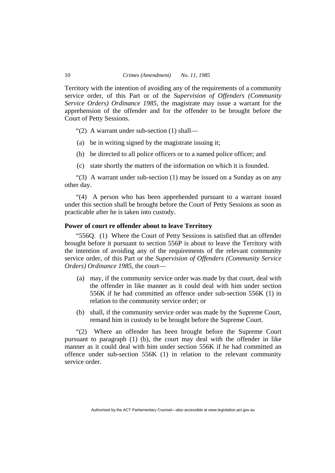Territory with the intention of avoiding any of the requirements of a community service order, of this Part or of the *Supervision of Offenders (Community Service Orders) Ordinance 1985*, the magistrate may issue a warrant for the apprehension of the offender and for the offender to be brought before the Court of Petty Sessions.

"(2) A warrant under sub-section (1) shall—

- (a) be in writing signed by the magistrate issuing it;
- (b) be directed to all police officers or to a named police officer; and
- (c) state shortly the matters of the information on which it is founded.

"(3) A warrant under sub-section (1) may be issued on a Sunday as on any other day.

"(4) A person who has been apprehended pursuant to a warrant issued under this section shall be brought before the Court of Petty Sessions as soon as practicable after he is taken into custody.

#### **Power of court re offender about to leave Territory**

"556Q. (1) Where the Court of Petty Sessions is satisfied that an offender brought before it pursuant to section 556P is about to leave the Territory with the intention of avoiding any of the requirements of the relevant community service order, of this Part or the *Supervision of Offenders (Community Service Orders) Ordinance 1985*, the court—

- (a) may, if the community service order was made by that court, deal with the offender in like manner as it could deal with him under section 556K if he had committed an offence under sub-section 556K (1) in relation to the community service order; or
- (b) shall, if the community service order was made by the Supreme Court, remand him in custody to be brought before the Supreme Court.

"(2) Where an offender has been brought before the Supreme Court pursuant to paragraph (1) (b), the court may deal with the offender in like manner as it could deal with him under section 556K if he had committed an offence under sub-section 556K (1) in relation to the relevant community service order.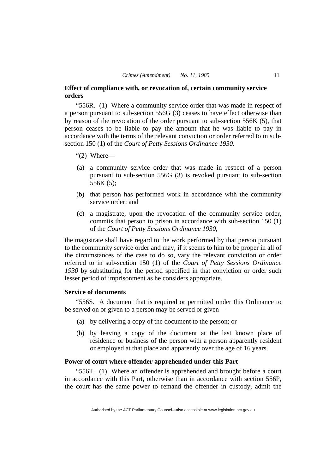#### **Effect of compliance with, or revocation of, certain community service orders**

"556R. (1) Where a community service order that was made in respect of a person pursuant to sub-section 556G (3) ceases to have effect otherwise than by reason of the revocation of the order pursuant to sub-section 556K (5), that person ceases to be liable to pay the amount that he was liable to pay in accordance with the terms of the relevant conviction or order referred to in subsection 150 (1) of the *Court of Petty Sessions Ordinance 1930*.

- " $(2)$  Where—
- (a) a community service order that was made in respect of a person pursuant to sub-section 556G (3) is revoked pursuant to sub-section 556K (5);
- (b) that person has performed work in accordance with the community service order; and
- (c) a magistrate, upon the revocation of the community service order, commits that person to prison in accordance with sub-section 150 (1) of the *Court of Petty Sessions Ordinance 1930*,

the magistrate shall have regard to the work performed by that person pursuant to the community service order and may, if it seems to him to be proper in all of the circumstances of the case to do so, vary the relevant conviction or order referred to in sub-section 150 (1) of the *Court of Petty Sessions Ordinance 1930* by substituting for the period specified in that conviction or order such lesser period of imprisonment as he considers appropriate.

#### **Service of documents**

"556S. A document that is required or permitted under this Ordinance to be served on or given to a person may be served or given—

- (a) by delivering a copy of the document to the person; or
- (b) by leaving a copy of the document at the last known place of residence or business of the person with a person apparently resident or employed at that place and apparently over the age of 16 years.

#### **Power of court where offender apprehended under this Part**

"556T. (1) Where an offender is apprehended and brought before a court in accordance with this Part, otherwise than in accordance with section 556P, the court has the same power to remand the offender in custody, admit the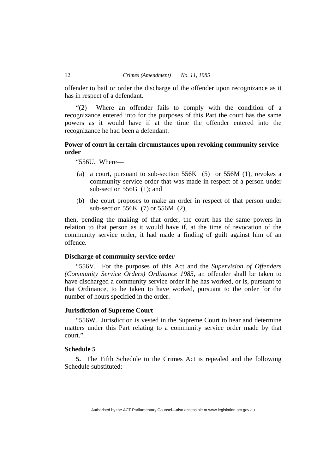offender to bail or order the discharge of the offender upon recognizance as it has in respect of a defendant.

"(2) Where an offender fails to comply with the condition of a recognizance entered into for the purposes of this Part the court has the same powers as it would have if at the time the offender entered into the recognizance he had been a defendant.

# **Power of court in certain circumstances upon revoking community service order**

"556U. Where—

- (a) a court, pursuant to sub-section 556K (5) or 556M (1), revokes a community service order that was made in respect of a person under sub-section 556G (1); and
- (b) the court proposes to make an order in respect of that person under sub-section 556K (7) or 556M (2),

then, pending the making of that order, the court has the same powers in relation to that person as it would have if, at the time of revocation of the community service order, it had made a finding of guilt against him of an offence.

#### **Discharge of community service order**

"556V. For the purposes of this Act and the *Supervision of Offenders (Community Service Orders) Ordinance 1985*, an offender shall be taken to have discharged a community service order if he has worked, or is, pursuant to that Ordinance, to be taken to have worked, pursuant to the order for the number of hours specified in the order.

#### **Jurisdiction of Supreme Court**

"556W. Jurisdiction is vested in the Supreme Court to hear and determine matters under this Part relating to a community service order made by that court.".

#### **Schedule 5**

**5.** The Fifth Schedule to the Crimes Act is repealed and the following Schedule substituted: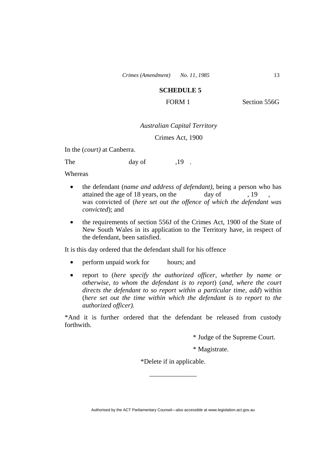# **SCHEDULE 5**

**FORM 1 Section 556G** 

#### *Australian Capital Territory*

Crimes Act, 1900

In the (*court)* at Canberra.

The day of  $19$ .

Whereas

- the defendant (*name and address of defendant)*, being a person who has attained the age of 18 years, on the day of , 19 was convicted of (*here set out the offence of which the defendant was convicted*); and
- the requirements of section 556J of the Crimes Act, 1900 of the State of New South Wales in its application to the Territory have, in respect of the defendant, been satisfied.

It is this day ordered that the defendant shall for his offence

- perform unpaid work for hours; and
- report to (*here specify the authorized officer, whether by name or otherwise, to whom the defendant is to report*) (*and, where the court directs the defendant to so report within a particular time, add*) within (*here set out the time within which the defendant is to report to the authorized officer).*

\*And it is further ordered that the defendant be released from custody forthwith.

\* Judge of the Supreme Court.

\* Magistrate.

\*Delete if in applicable.

\_\_\_\_\_\_\_\_\_\_\_\_\_\_